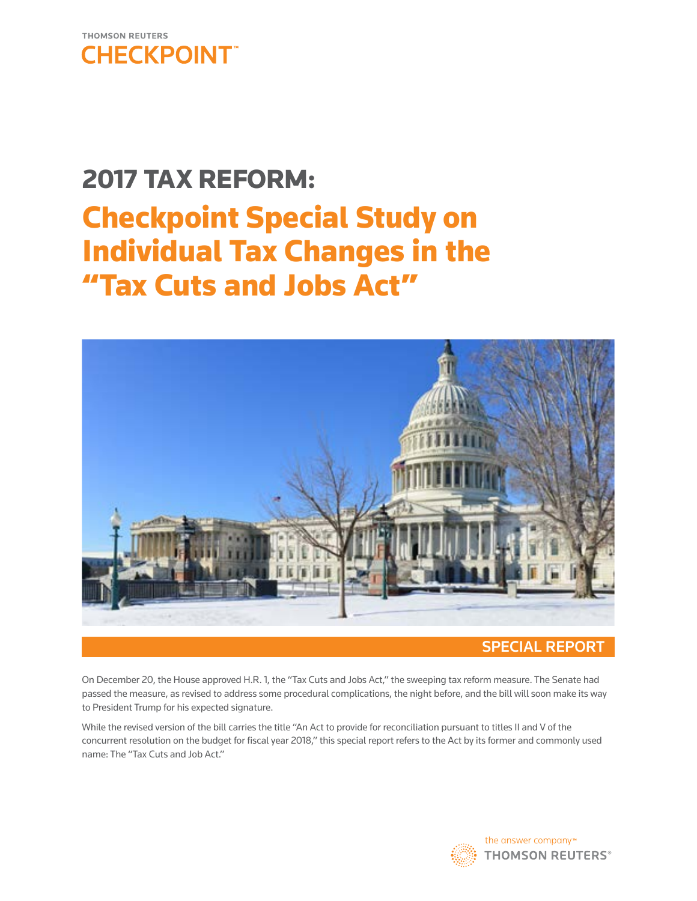

# 2017 TAX REFORM: Checkpoint Special Study on Individual Tax Changes in the "Tax Cuts and Jobs Act"



## SPECIAL REPORT

On December 20, the House approved H.R. 1, the ''Tax Cuts and Jobs Act,'' the sweeping tax reform measure. The Senate had passed the measure, as revised to address some procedural complications, the night before, and the bill will soon make its way to President Trump for his expected signature.

While the revised version of the bill carries the title "An Act to provide for reconciliation pursuant to titles II and V of the concurrent resolution on the budget for fiscal year 2018," this special report refers to the Act by its former and commonly used name: The "Tax Cuts and Job Act."

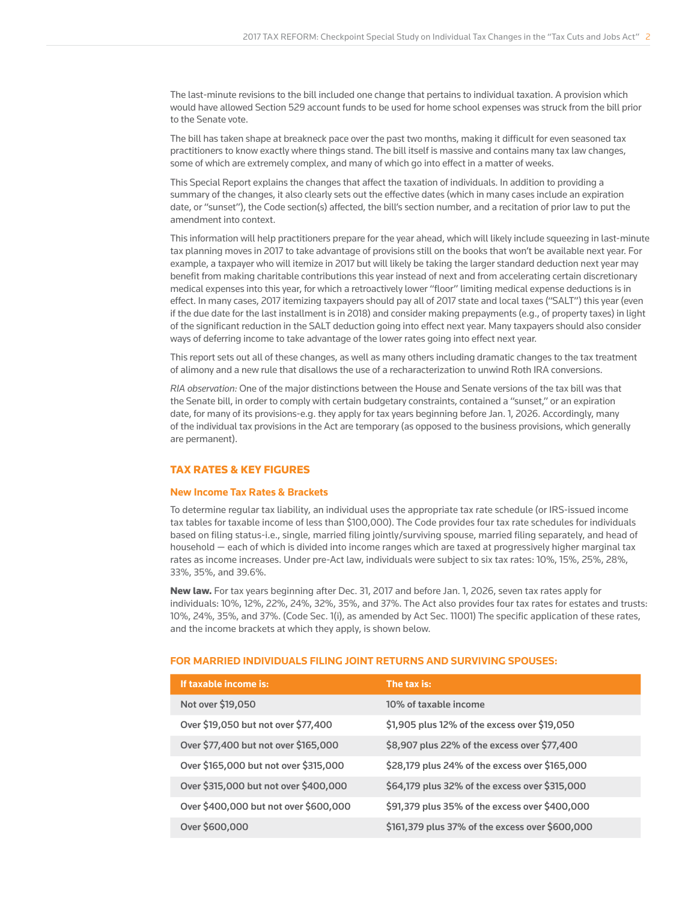The last-minute revisions to the bill included one change that pertains to individual taxation. A provision which would have allowed Section 529 account funds to be used for home school expenses was struck from the bill prior to the Senate vote.

The bill has taken shape at breakneck pace over the past two months, making it difficult for even seasoned tax practitioners to know exactly where things stand. The bill itself is massive and contains many tax law changes, some of which are extremely complex, and many of which go into effect in a matter of weeks.

This Special Report explains the changes that affect the taxation of individuals. In addition to providing a summary of the changes, it also clearly sets out the effective dates (which in many cases include an expiration date, or "sunset"), the Code section(s) affected, the bill's section number, and a recitation of prior law to put the amendment into context.

This information will help practitioners prepare for the year ahead, which will likely include squeezing in last-minute tax planning moves in 2017 to take advantage of provisions still on the books that won't be available next year. For example, a taxpayer who will itemize in 2017 but will likely be taking the larger standard deduction next year may benefit from making charitable contributions this year instead of next and from accelerating certain discretionary medical expenses into this year, for which a retroactively lower "floor" limiting medical expense deductions is in effect. In many cases, 2017 itemizing taxpayers should pay all of 2017 state and local taxes ("SALT") this year (even if the due date for the last installment is in 2018) and consider making prepayments (e.g., of property taxes) in light of the significant reduction in the SALT deduction going into effect next year. Many taxpayers should also consider ways of deferring income to take advantage of the lower rates going into effect next year.

This report sets out all of these changes, as well as many others including dramatic changes to the tax treatment of alimony and a new rule that disallows the use of a recharacterization to unwind Roth IRA conversions.

*RIA observation:* One of the major distinctions between the House and Senate versions of the tax bill was that the Senate bill, in order to comply with certain budgetary constraints, contained a "sunset," or an expiration date, for many of its provisions-e.g. they apply for tax years beginning before Jan. 1, 2026. Accordingly, many of the individual tax provisions in the Act are temporary (as opposed to the business provisions, which generally are permanent).

## TAX RATES & KEY FIGURES

## **New Income Tax Rates & Brackets**

To determine regular tax liability, an individual uses the appropriate tax rate schedule (or IRS-issued income tax tables for taxable income of less than \$100,000). The Code provides four tax rate schedules for individuals based on filing status-i.e., single, married filing jointly/surviving spouse, married filing separately, and head of household — each of which is divided into income ranges which are taxed at progressively higher marginal tax rates as income increases. Under pre-Act law, individuals were subject to six tax rates: 10%, 15%, 25%, 28%, 33%, 35%, and 39.6%.

New law. For tax years beginning after Dec. 31, 2017 and before Jan. 1, 2026, seven tax rates apply for individuals: 10%, 12%, 22%, 24%, 32%, 35%, and 37%. The Act also provides four tax rates for estates and trusts: 10%, 24%, 35%, and 37%. (Code Sec. 1(i), as amended by Act Sec. 11001) The specific application of these rates, and the income brackets at which they apply, is shown below.

## **FOR MARRIED INDIVIDUALS FILING JOINT RETURNS AND SURVIVING SPOUSES:**

| If taxable income is:                 | The tax is:                                     |
|---------------------------------------|-------------------------------------------------|
| Not over \$19,050                     | 10% of taxable income                           |
| Over \$19,050 but not over \$77,400   | \$1,905 plus 12% of the excess over \$19,050    |
| Over \$77,400 but not over \$165,000  | \$8,907 plus 22% of the excess over \$77,400    |
| Over \$165,000 but not over \$315,000 | \$28,179 plus 24% of the excess over \$165,000  |
| Over \$315,000 but not over \$400,000 | \$64,179 plus 32% of the excess over \$315,000  |
| Over \$400,000 but not over \$600,000 | \$91,379 plus 35% of the excess over \$400,000  |
| Over \$600,000                        | \$161,379 plus 37% of the excess over \$600,000 |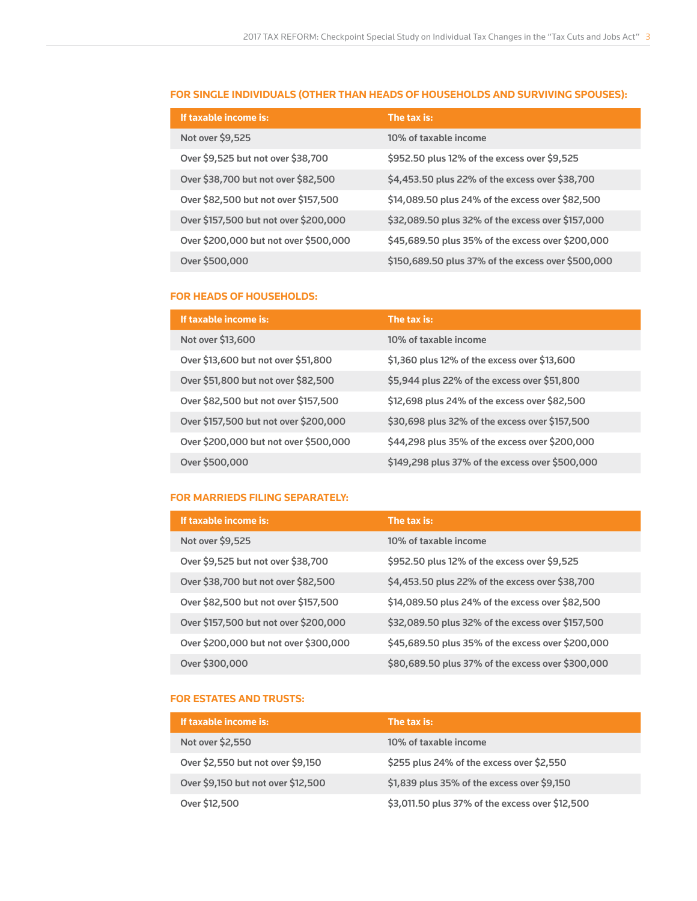## **FOR SINGLE INDIVIDUALS (OTHER THAN HEADS OF HOUSEHOLDS AND SURVIVING SPOUSES):**

| If taxable income is:                 | The tax is:                                        |
|---------------------------------------|----------------------------------------------------|
| Not over \$9,525                      | 10% of taxable income                              |
| Over \$9,525 but not over \$38,700    | \$952.50 plus 12% of the excess over \$9,525       |
| Over \$38,700 but not over \$82,500   | \$4,453.50 plus 22% of the excess over \$38,700    |
| Over \$82,500 but not over \$157,500  | \$14,089.50 plus 24% of the excess over \$82,500   |
| Over \$157,500 but not over \$200,000 | \$32,089.50 plus 32% of the excess over \$157,000  |
| Over \$200,000 but not over \$500,000 | \$45,689.50 plus 35% of the excess over \$200,000  |
| Over \$500,000                        | \$150,689.50 plus 37% of the excess over \$500,000 |

## **FOR HEADS OF HOUSEHOLDS:**

| If taxable income is:                 | The tax is:                                     |
|---------------------------------------|-------------------------------------------------|
| Not over \$13,600                     | 10% of taxable income                           |
| Over \$13,600 but not over \$51,800   | \$1,360 plus 12% of the excess over \$13,600    |
| Over \$51,800 but not over \$82,500   | \$5,944 plus 22% of the excess over \$51,800    |
| Over \$82,500 but not over \$157,500  | \$12,698 plus 24% of the excess over \$82,500   |
| Over \$157,500 but not over \$200,000 | \$30,698 plus 32% of the excess over \$157,500  |
| Over \$200,000 but not over \$500,000 | \$44,298 plus 35% of the excess over \$200,000  |
| Over \$500,000                        | \$149,298 plus 37% of the excess over \$500,000 |

## **FOR MARRIEDS FILING SEPARATELY:**

| If taxable income is:                 | The tax is:                                       |
|---------------------------------------|---------------------------------------------------|
| Not over \$9,525                      | 10% of taxable income                             |
| Over \$9,525 but not over \$38,700    | \$952.50 plus 12% of the excess over \$9,525      |
| Over \$38,700 but not over \$82,500   | \$4,453.50 plus 22% of the excess over \$38,700   |
| Over \$82,500 but not over \$157,500  | \$14,089.50 plus 24% of the excess over \$82,500  |
| Over \$157,500 but not over \$200,000 | \$32,089.50 plus 32% of the excess over \$157,500 |
| Over \$200,000 but not over \$300,000 | \$45,689.50 plus 35% of the excess over \$200,000 |
| Over \$300,000                        | \$80,689.50 plus 37% of the excess over \$300,000 |

## **FOR ESTATES AND TRUSTS:**

| If taxable income is:              | The tax is:                                     |
|------------------------------------|-------------------------------------------------|
| Not over \$2,550                   | 10% of taxable income                           |
| Over \$2,550 but not over \$9,150  | \$255 plus 24% of the excess over \$2,550       |
| Over \$9,150 but not over \$12,500 | \$1,839 plus 35% of the excess over \$9,150     |
| Over \$12,500                      | \$3,011.50 plus 37% of the excess over \$12,500 |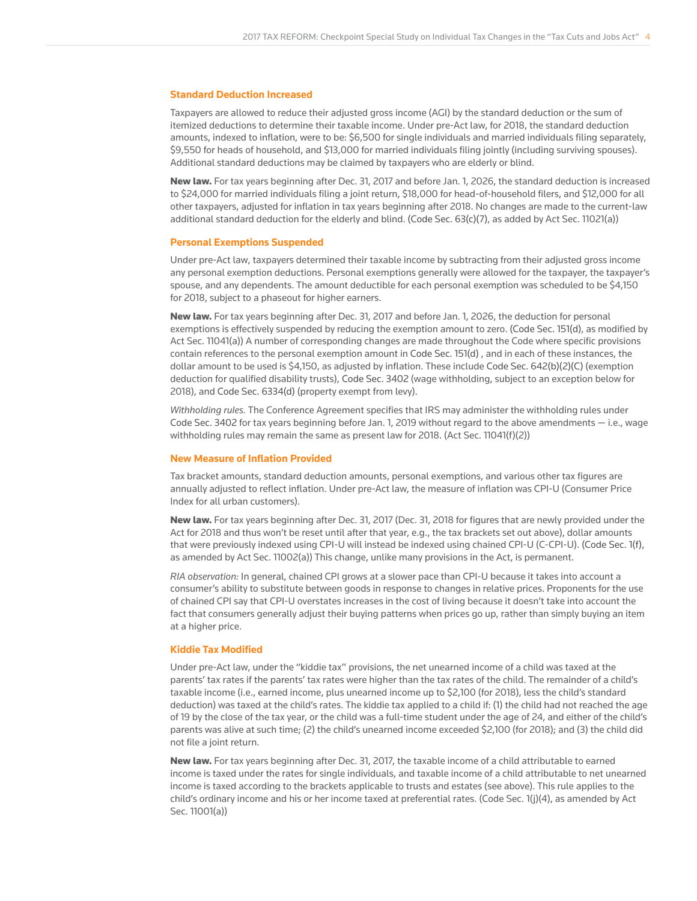#### **Standard Deduction Increased**

Taxpayers are allowed to reduce their adjusted gross income (AGI) by the standard deduction or the sum of itemized deductions to determine their taxable income. Under pre-Act law, for 2018, the standard deduction amounts, indexed to inflation, were to be: \$6,500 for single individuals and married individuals filing separately, \$9,550 for heads of household, and \$13,000 for married individuals filing jointly (including surviving spouses). Additional standard deductions may be claimed by taxpayers who are elderly or blind.

New law. For tax years beginning after Dec. 31, 2017 and before Jan. 1, 2026, the standard deduction is increased to \$24,000 for married individuals filing a joint return, \$18,000 for head-of-household filers, and \$12,000 for all other taxpayers, adjusted for inflation in tax years beginning after 2018. No changes are made to the current-law additional standard deduction for the elderly and blind. (Code Sec. 63(c)(7), as added by Act Sec. 11021(a))

#### **Personal Exemptions Suspended**

Under pre-Act law, taxpayers determined their taxable income by subtracting from their adjusted gross income any personal exemption deductions. Personal exemptions generally were allowed for the taxpayer, the taxpayer's spouse, and any dependents. The amount deductible for each personal exemption was scheduled to be \$4,150 for 2018, subject to a phaseout for higher earners.

New law. For tax years beginning after Dec. 31, 2017 and before Jan. 1, 2026, the deduction for personal exemptions is effectively suspended by reducing the exemption amount to zero. (Code Sec. 151(d), as modified by Act Sec. 11041(a)) A number of corresponding changes are made throughout the Code where specific provisions contain references to the personal exemption amount in Code Sec. 151(d) , and in each of these instances, the dollar amount to be used is \$4,150, as adjusted by inflation. These include Code Sec. 642(b)(2)(C) (exemption deduction for qualified disability trusts), Code Sec. 3402 (wage withholding, subject to an exception below for 2018), and Code Sec. 6334(d) (property exempt from levy).

*Withholding rules.* The Conference Agreement specifies that IRS may administer the withholding rules under Code Sec. 3402 for tax years beginning before Jan. 1, 2019 without regard to the above amendments  $-$  i.e., wage withholding rules may remain the same as present law for 2018. (Act Sec. 11041(f)(2))

#### **New Measure of Inflation Provided**

Tax bracket amounts, standard deduction amounts, personal exemptions, and various other tax figures are annually adjusted to reflect inflation. Under pre-Act law, the measure of inflation was CPI-U (Consumer Price Index for all urban customers).

New law. For tax years beginning after Dec. 31, 2017 (Dec. 31, 2018 for figures that are newly provided under the Act for 2018 and thus won't be reset until after that year, e.g., the tax brackets set out above), dollar amounts that were previously indexed using CPI-U will instead be indexed using chained CPI-U (C-CPI-U). (Code Sec. 1(f), as amended by Act Sec. 11002(a)) This change, unlike many provisions in the Act, is permanent.

*RIA observation:* In general, chained CPI grows at a slower pace than CPI-U because it takes into account a consumer's ability to substitute between goods in response to changes in relative prices. Proponents for the use of chained CPI say that CPI-U overstates increases in the cost of living because it doesn't take into account the fact that consumers generally adjust their buying patterns when prices go up, rather than simply buying an item at a higher price.

#### **Kiddie Tax Modified**

Under pre-Act law, under the "kiddie tax" provisions, the net unearned income of a child was taxed at the parents' tax rates if the parents' tax rates were higher than the tax rates of the child. The remainder of a child's taxable income (i.e., earned income, plus unearned income up to \$2,100 (for 2018), less the child's standard deduction) was taxed at the child's rates. The kiddie tax applied to a child if: (1) the child had not reached the age of 19 by the close of the tax year, or the child was a full-time student under the age of 24, and either of the child's parents was alive at such time; (2) the child's unearned income exceeded \$2,100 (for 2018); and (3) the child did not file a joint return.

New law. For tax years beginning after Dec. 31, 2017, the taxable income of a child attributable to earned income is taxed under the rates for single individuals, and taxable income of a child attributable to net unearned income is taxed according to the brackets applicable to trusts and estates (see above). This rule applies to the child's ordinary income and his or her income taxed at preferential rates. (Code Sec. 1(j)(4), as amended by Act Sec. 11001(a))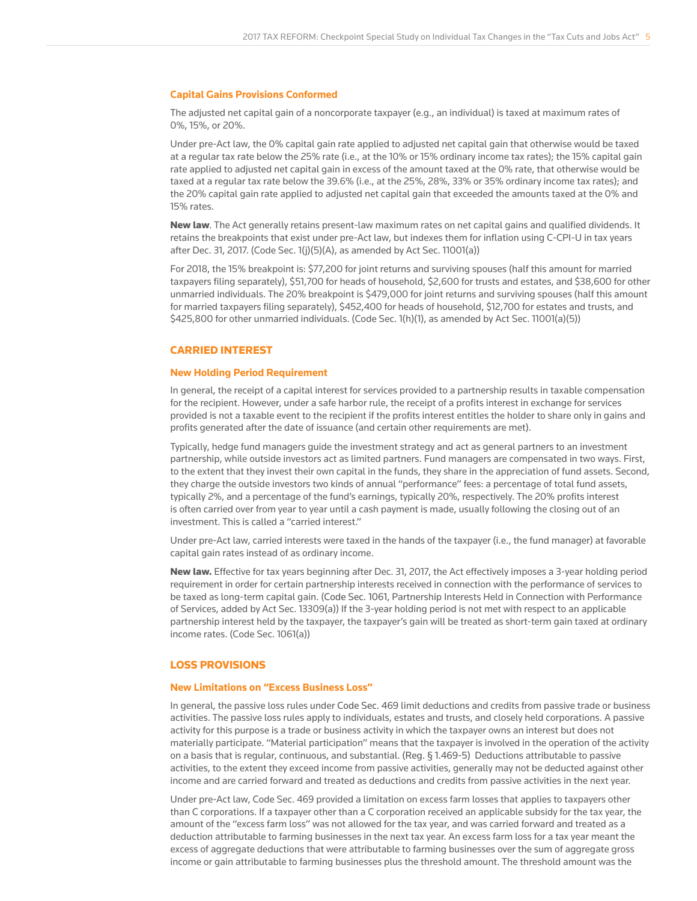#### **Capital Gains Provisions Conformed**

The adjusted net capital gain of a noncorporate taxpayer (e.g., an individual) is taxed at maximum rates of 0%, 15%, or 20%.

Under pre-Act law, the 0% capital gain rate applied to adjusted net capital gain that otherwise would be taxed at a regular tax rate below the 25% rate (i.e., at the 10% or 15% ordinary income tax rates); the 15% capital gain rate applied to adjusted net capital gain in excess of the amount taxed at the 0% rate, that otherwise would be taxed at a regular tax rate below the 39.6% (i.e., at the 25%, 28%, 33% or 35% ordinary income tax rates); and the 20% capital gain rate applied to adjusted net capital gain that exceeded the amounts taxed at the 0% and 15% rates.

New law. The Act generally retains present-law maximum rates on net capital gains and qualified dividends. It retains the breakpoints that exist under pre-Act law, but indexes them for inflation using C-CPI-U in tax years after Dec. 31, 2017. (Code Sec. 1(j)(5)(A), as amended by Act Sec. 11001(a))

For 2018, the 15% breakpoint is: \$77,200 for joint returns and surviving spouses (half this amount for married taxpayers filing separately), \$51,700 for heads of household, \$2,600 for trusts and estates, and \$38,600 for other unmarried individuals. The 20% breakpoint is \$479,000 for joint returns and surviving spouses (half this amount for married taxpayers filing separately), \$452,400 for heads of household, \$12,700 for estates and trusts, and \$425,800 for other unmarried individuals. (Code Sec. 1(h)(1), as amended by Act Sec. 11001(a)(5))

## CARRIED INTEREST

#### **New Holding Period Requirement**

In general, the receipt of a capital interest for services provided to a partnership results in taxable compensation for the recipient. However, under a safe harbor rule, the receipt of a profits interest in exchange for services provided is not a taxable event to the recipient if the profits interest entitles the holder to share only in gains and profits generated after the date of issuance (and certain other requirements are met).

Typically, hedge fund managers guide the investment strategy and act as general partners to an investment partnership, while outside investors act as limited partners. Fund managers are compensated in two ways. First, to the extent that they invest their own capital in the funds, they share in the appreciation of fund assets. Second, they charge the outside investors two kinds of annual "performance" fees: a percentage of total fund assets, typically 2%, and a percentage of the fund's earnings, typically 20%, respectively. The 20% profits interest is often carried over from year to year until a cash payment is made, usually following the closing out of an investment. This is called a "carried interest."

Under pre-Act law, carried interests were taxed in the hands of the taxpayer (i.e., the fund manager) at favorable capital gain rates instead of as ordinary income.

New law. Effective for tax years beginning after Dec. 31, 2017, the Act effectively imposes a 3-year holding period requirement in order for certain partnership interests received in connection with the performance of services to be taxed as long-term capital gain. (Code Sec. 1061, Partnership Interests Held in Connection with Performance of Services, added by Act Sec. 13309(a)) If the 3-year holding period is not met with respect to an applicable partnership interest held by the taxpayer, the taxpayer's gain will be treated as short-term gain taxed at ordinary income rates. (Code Sec. 1061(a))

## LOSS PROVISIONS

#### **New Limitations on "Excess Business Loss"**

In general, the passive loss rules under Code Sec. 469 limit deductions and credits from passive trade or business activities. The passive loss rules apply to individuals, estates and trusts, and closely held corporations. A passive activity for this purpose is a trade or business activity in which the taxpayer owns an interest but does not materially participate. "Material participation" means that the taxpayer is involved in the operation of the activity on a basis that is regular, continuous, and substantial. (Reg. § 1.469-5) Deductions attributable to passive activities, to the extent they exceed income from passive activities, generally may not be deducted against other income and are carried forward and treated as deductions and credits from passive activities in the next year.

Under pre-Act law, Code Sec. 469 provided a limitation on excess farm losses that applies to taxpayers other than C corporations. If a taxpayer other than a C corporation received an applicable subsidy for the tax year, the amount of the "excess farm loss" was not allowed for the tax year, and was carried forward and treated as a deduction attributable to farming businesses in the next tax year. An excess farm loss for a tax year meant the excess of aggregate deductions that were attributable to farming businesses over the sum of aggregate gross income or gain attributable to farming businesses plus the threshold amount. The threshold amount was the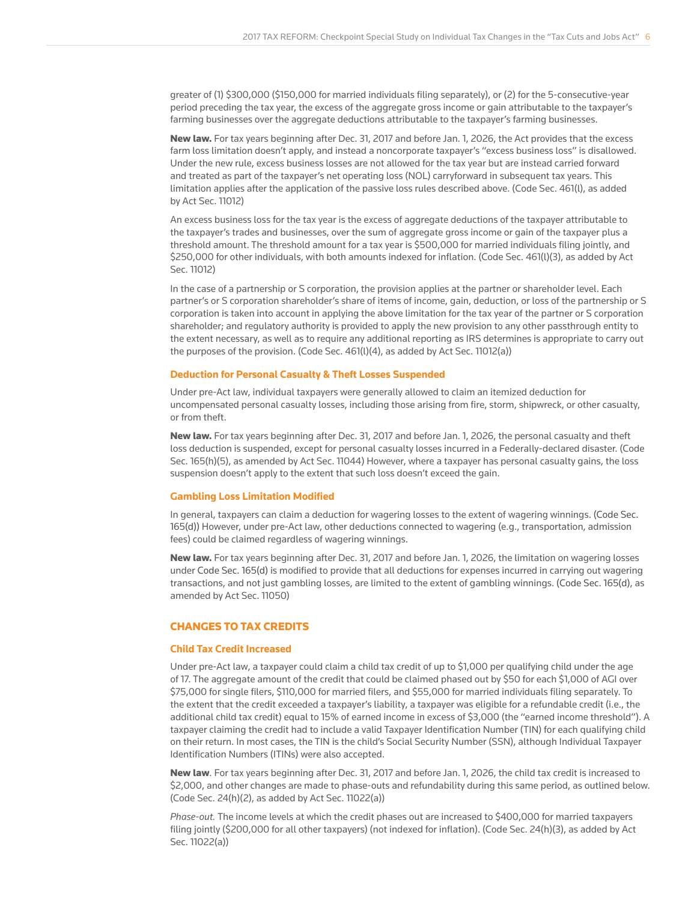greater of (1) \$300,000 (\$150,000 for married individuals filing separately), or (2) for the 5-consecutive-year period preceding the tax year, the excess of the aggregate gross income or gain attributable to the taxpayer's farming businesses over the aggregate deductions attributable to the taxpayer's farming businesses.

New law. For tax years beginning after Dec. 31, 2017 and before Jan. 1, 2026, the Act provides that the excess farm loss limitation doesn't apply, and instead a noncorporate taxpayer's "excess business loss" is disallowed. Under the new rule, excess business losses are not allowed for the tax year but are instead carried forward and treated as part of the taxpayer's net operating loss (NOL) carryforward in subsequent tax years. This limitation applies after the application of the passive loss rules described above. (Code Sec. 461(l), as added by Act Sec. 11012)

An excess business loss for the tax year is the excess of aggregate deductions of the taxpayer attributable to the taxpayer's trades and businesses, over the sum of aggregate gross income or gain of the taxpayer plus a threshold amount. The threshold amount for a tax year is \$500,000 for married individuals filing jointly, and \$250,000 for other individuals, with both amounts indexed for inflation. (Code Sec. 461(l)(3), as added by Act Sec. 11012)

In the case of a partnership or S corporation, the provision applies at the partner or shareholder level. Each partner's or S corporation shareholder's share of items of income, gain, deduction, or loss of the partnership or S corporation is taken into account in applying the above limitation for the tax year of the partner or S corporation shareholder; and regulatory authority is provided to apply the new provision to any other passthrough entity to the extent necessary, as well as to require any additional reporting as IRS determines is appropriate to carry out the purposes of the provision. (Code Sec.  $461(1)(4)$ , as added by Act Sec. 11012(a))

#### **Deduction for Personal Casualty & Theft Losses Suspended**

Under pre-Act law, individual taxpayers were generally allowed to claim an itemized deduction for uncompensated personal casualty losses, including those arising from fire, storm, shipwreck, or other casualty, or from theft.

New law. For tax years beginning after Dec. 31, 2017 and before Jan. 1, 2026, the personal casualty and theft loss deduction is suspended, except for personal casualty losses incurred in a Federally-declared disaster. (Code Sec. 165(h)(5), as amended by Act Sec. 11044) However, where a taxpayer has personal casualty gains, the loss suspension doesn't apply to the extent that such loss doesn't exceed the gain.

#### **Gambling Loss Limitation Modified**

In general, taxpayers can claim a deduction for wagering losses to the extent of wagering winnings. (Code Sec. 165(d)) However, under pre-Act law, other deductions connected to wagering (e.g., transportation, admission fees) could be claimed regardless of wagering winnings.

New law. For tax years beginning after Dec. 31, 2017 and before Jan. 1, 2026, the limitation on wagering losses under Code Sec. 165(d) is modified to provide that all deductions for expenses incurred in carrying out wagering transactions, and not just gambling losses, are limited to the extent of gambling winnings. (Code Sec. 165(d), as amended by Act Sec. 11050)

## CHANGES TO TAX CREDITS

## **Child Tax Credit Increased**

Under pre-Act law, a taxpayer could claim a child tax credit of up to \$1,000 per qualifying child under the age of 17. The aggregate amount of the credit that could be claimed phased out by \$50 for each \$1,000 of AGI over \$75,000 for single filers, \$110,000 for married filers, and \$55,000 for married individuals filing separately. To the extent that the credit exceeded a taxpayer's liability, a taxpayer was eligible for a refundable credit (i.e., the additional child tax credit) equal to 15% of earned income in excess of \$3,000 (the "earned income threshold"). A taxpayer claiming the credit had to include a valid Taxpayer Identification Number (TIN) for each qualifying child on their return. In most cases, the TIN is the child's Social Security Number (SSN), although Individual Taxpayer Identification Numbers (ITINs) were also accepted.

New law. For tax years beginning after Dec. 31, 2017 and before Jan. 1, 2026, the child tax credit is increased to \$2,000, and other changes are made to phase-outs and refundability during this same period, as outlined below. (Code Sec. 24(h)(2), as added by Act Sec. 11022(a))

*Phase-out.* The income levels at which the credit phases out are increased to \$400,000 for married taxpayers filing jointly (\$200,000 for all other taxpayers) (not indexed for inflation). (Code Sec. 24(h)(3), as added by Act Sec. 11022(a))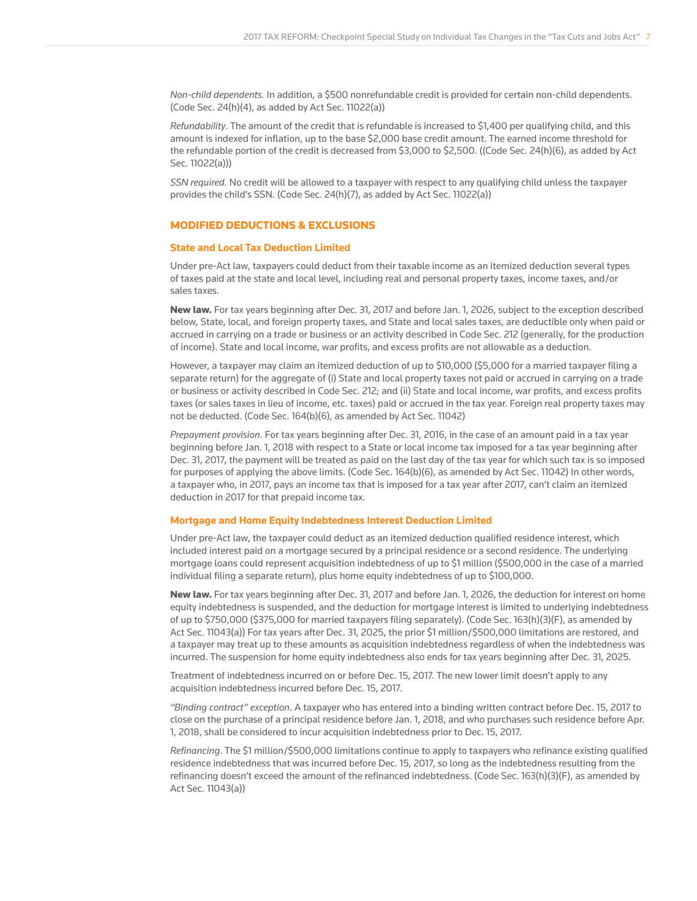*Non-child dependents.* In addition, a \$500 nonrefundable credit is provided for certain non-child dependents. (Code Sec. 24(h)(4), as added by Act Sec. 11022(a))

*Refundability*. The amount of the credit that is refundable is increased to \$1,400 per qualifying child, and this amount is indexed for inflation, up to the base \$2,000 base credit amount. The earned income threshold for the refundable portion of the credit is decreased from \$3,000 to \$2,500. ((Code Sec. 24(h)(6), as added by Act Sec. 11022(a)))

*SSN required.* No credit will be allowed to a taxpayer with respect to any qualifying child unless the taxpayer provides the child's SSN. (Code Sec. 24(h)(7), as added by Act Sec. 11022(a))

## MODIFIED DEDUCTIONS & EXCLUSIONS

## **State and Local Tax Deduction Limited**

Under pre-Act law, taxpayers could deduct from their taxable income as an itemized deduction several types of taxes paid at the state and local level, including real and personal property taxes, income taxes, and/or sales taxes.

New law. For tax years beginning after Dec. 31, 2017 and before Jan. 1, 2026, subject to the exception described below, State, local, and foreign property taxes, and State and local sales taxes, are deductible only when paid or accrued in carrying on a trade or business or an activity described in Code Sec. 212 (generally, for the production of income). State and local income, war profits, and excess profits are not allowable as a deduction.

However, a taxpayer may claim an itemized deduction of up to \$10,000 (\$5,000 for a married taxpayer filing a separate return) for the aggregate of (i) State and local property taxes not paid or accrued in carrying on a trade or business or activity described in Code Sec. 212; and (ii) State and local income, war profits, and excess profits taxes (or sales taxes in lieu of income, etc. taxes) paid or accrued in the tax year. Foreign real property taxes may not be deducted. (Code Sec. 164(b)(6), as amended by Act Sec. 11042)

*Prepayment provision.* For tax years beginning after Dec. 31, 2016, in the case of an amount paid in a tax year beginning before Jan. 1, 2018 with respect to a State or local income tax imposed for a tax year beginning after Dec. 31, 2017, the payment will be treated as paid on the last day of the tax year for which such tax is so imposed for purposes of applying the above limits. (Code Sec. 164(b)(6), as amended by Act Sec. 11042) In other words, a taxpayer who, in 2017, pays an income tax that is imposed for a tax year after 2017, can't claim an itemized deduction in 2017 for that prepaid income tax.

#### **Mortgage and Home Equity Indebtedness Interest Deduction Limited**

Under pre-Act law, the taxpayer could deduct as an itemized deduction qualified residence interest, which included interest paid on a mortgage secured by a principal residence or a second residence. The underlying mortgage loans could represent acquisition indebtedness of up to \$1 million (\$500,000 in the case of a married individual filing a separate return), plus home equity indebtedness of up to \$100,000.

New law. For tax years beginning after Dec. 31, 2017 and before Jan. 1, 2026, the deduction for interest on home equity indebtedness is suspended, and the deduction for mortgage interest is limited to underlying indebtedness of up to \$750,000 (\$375,000 for married taxpayers filing separately). (Code Sec. 163(h)(3)(F), as amended by Act Sec. 11043(a)) For tax years after Dec. 31, 2025, the prior \$1 million/\$500,000 limitations are restored, and a taxpayer may treat up to these amounts as acquisition indebtedness regardless of when the indebtedness was incurred. The suspension for home equity indebtedness also ends for tax years beginning after Dec. 31, 2025.

Treatment of indebtedness incurred on or before Dec. 15, 2017. The new lower limit doesn't apply to any acquisition indebtedness incurred before Dec. 15, 2017.

*"Binding contract" exception*. A taxpayer who has entered into a binding written contract before Dec. 15, 2017 to close on the purchase of a principal residence before Jan. 1, 2018, and who purchases such residence before Apr. 1, 2018, shall be considered to incur acquisition indebtedness prior to Dec. 15, 2017.

*Refinancing*. The \$1 million/\$500,000 limitations continue to apply to taxpayers who refinance existing qualified residence indebtedness that was incurred before Dec. 15, 2017, so long as the indebtedness resulting from the refinancing doesn't exceed the amount of the refinanced indebtedness. (Code Sec. 163(h)(3)(F), as amended by Act Sec. 11043(a))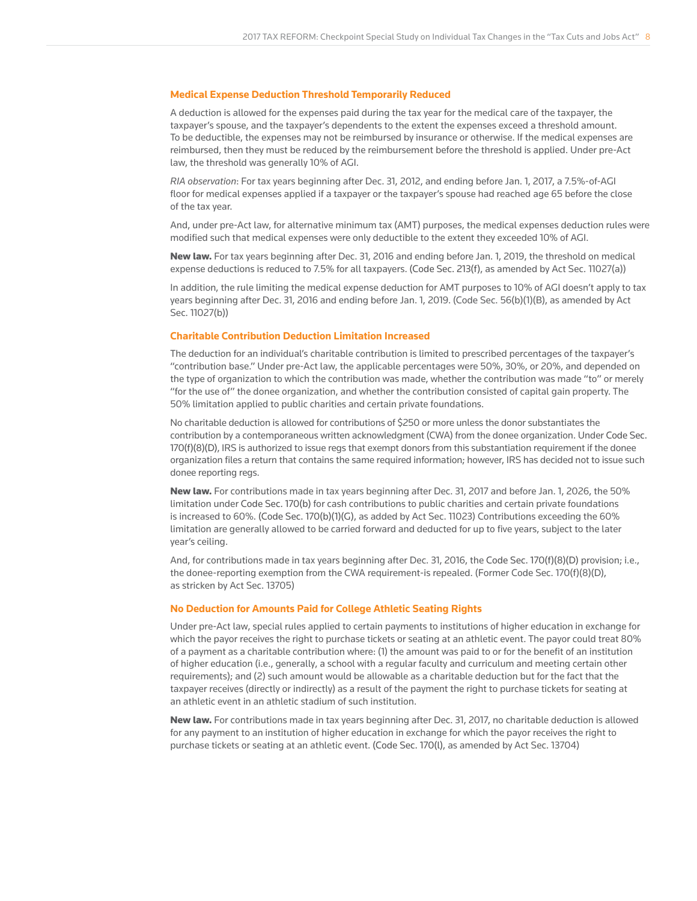#### **Medical Expense Deduction Threshold Temporarily Reduced**

A deduction is allowed for the expenses paid during the tax year for the medical care of the taxpayer, the taxpayer's spouse, and the taxpayer's dependents to the extent the expenses exceed a threshold amount. To be deductible, the expenses may not be reimbursed by insurance or otherwise. If the medical expenses are reimbursed, then they must be reduced by the reimbursement before the threshold is applied. Under pre-Act law, the threshold was generally 10% of AGI.

*RIA observation*: For tax years beginning after Dec. 31, 2012, and ending before Jan. 1, 2017, a 7.5%-of-AGI floor for medical expenses applied if a taxpayer or the taxpayer's spouse had reached age 65 before the close of the tax year.

And, under pre-Act law, for alternative minimum tax (AMT) purposes, the medical expenses deduction rules were modified such that medical expenses were only deductible to the extent they exceeded 10% of AGI.

New law. For tax years beginning after Dec. 31, 2016 and ending before Jan. 1, 2019, the threshold on medical expense deductions is reduced to 7.5% for all taxpayers. (Code Sec. 213(f), as amended by Act Sec. 11027(a))

In addition, the rule limiting the medical expense deduction for AMT purposes to 10% of AGI doesn't apply to tax years beginning after Dec. 31, 2016 and ending before Jan. 1, 2019. (Code Sec. 56(b)(1)(B), as amended by Act Sec. 11027(b))

#### **Charitable Contribution Deduction Limitation Increased**

The deduction for an individual's charitable contribution is limited to prescribed percentages of the taxpayer's "contribution base." Under pre-Act law, the applicable percentages were 50%, 30%, or 20%, and depended on the type of organization to which the contribution was made, whether the contribution was made "to" or merely "for the use of" the donee organization, and whether the contribution consisted of capital gain property. The 50% limitation applied to public charities and certain private foundations.

No charitable deduction is allowed for contributions of \$250 or more unless the donor substantiates the contribution by a contemporaneous written acknowledgment (CWA) from the donee organization. Under Code Sec. 170(f)(8)(D), IRS is authorized to issue regs that exempt donors from this substantiation requirement if the donee organization files a return that contains the same required information; however, IRS has decided not to issue such donee reporting regs.

New law. For contributions made in tax years beginning after Dec. 31, 2017 and before Jan. 1, 2026, the 50% limitation under Code Sec. 170(b) for cash contributions to public charities and certain private foundations is increased to 60%. (Code Sec. 170(b)(1)(G), as added by Act Sec. 11023) Contributions exceeding the 60% limitation are generally allowed to be carried forward and deducted for up to five years, subject to the later year's ceiling.

And, for contributions made in tax years beginning after Dec. 31, 2016, the Code Sec. 170(f)(8)(D) provision; i.e., the donee-reporting exemption from the CWA requirement-is repealed. (Former Code Sec. 170(f)(8)(D), as stricken by Act Sec. 13705)

#### **No Deduction for Amounts Paid for College Athletic Seating Rights**

Under pre-Act law, special rules applied to certain payments to institutions of higher education in exchange for which the payor receives the right to purchase tickets or seating at an athletic event. The payor could treat 80% of a payment as a charitable contribution where: (1) the amount was paid to or for the benefit of an institution of higher education (i.e., generally, a school with a regular faculty and curriculum and meeting certain other requirements); and (2) such amount would be allowable as a charitable deduction but for the fact that the taxpayer receives (directly or indirectly) as a result of the payment the right to purchase tickets for seating at an athletic event in an athletic stadium of such institution.

New law. For contributions made in tax years beginning after Dec. 31, 2017, no charitable deduction is allowed for any payment to an institution of higher education in exchange for which the payor receives the right to purchase tickets or seating at an athletic event. (Code Sec. 170(l), as amended by Act Sec. 13704)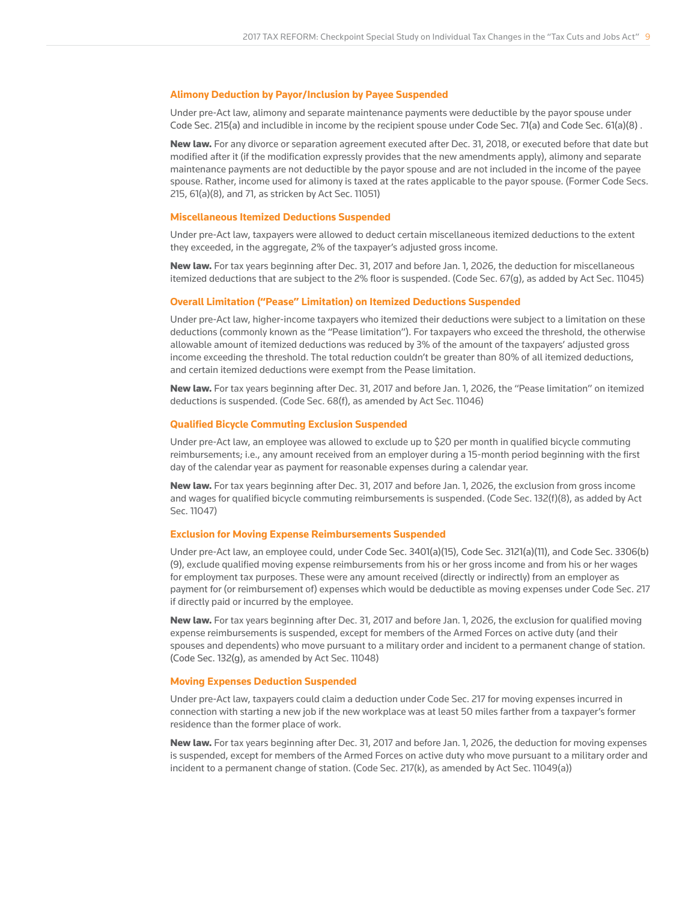#### **Alimony Deduction by Payor/Inclusion by Payee Suspended**

Under pre-Act law, alimony and separate maintenance payments were deductible by the payor spouse under Code Sec. 215(a) and includible in income by the recipient spouse under Code Sec. 71(a) and Code Sec. 61(a)(8) .

New law. For any divorce or separation agreement executed after Dec. 31, 2018, or executed before that date but modified after it (if the modification expressly provides that the new amendments apply), alimony and separate maintenance payments are not deductible by the payor spouse and are not included in the income of the payee spouse. Rather, income used for alimony is taxed at the rates applicable to the payor spouse. (Former Code Secs. 215, 61(a)(8), and 71, as stricken by Act Sec. 11051)

#### **Miscellaneous Itemized Deductions Suspended**

Under pre-Act law, taxpayers were allowed to deduct certain miscellaneous itemized deductions to the extent they exceeded, in the aggregate, 2% of the taxpayer's adjusted gross income.

New law. For tax years beginning after Dec. 31, 2017 and before Jan. 1, 2026, the deduction for miscellaneous itemized deductions that are subject to the 2% floor is suspended. (Code Sec. 67(g), as added by Act Sec. 11045)

#### **Overall Limitation ("Pease" Limitation) on Itemized Deductions Suspended**

Under pre-Act law, higher-income taxpayers who itemized their deductions were subject to a limitation on these deductions (commonly known as the "Pease limitation"). For taxpayers who exceed the threshold, the otherwise allowable amount of itemized deductions was reduced by 3% of the amount of the taxpayers' adjusted gross income exceeding the threshold. The total reduction couldn't be greater than 80% of all itemized deductions, and certain itemized deductions were exempt from the Pease limitation.

New law. For tax years beginning after Dec. 31, 2017 and before Jan. 1, 2026, the "Pease limitation" on itemized deductions is suspended. (Code Sec. 68(f), as amended by Act Sec. 11046)

#### **Qualified Bicycle Commuting Exclusion Suspended**

Under pre-Act law, an employee was allowed to exclude up to \$20 per month in qualified bicycle commuting reimbursements; i.e., any amount received from an employer during a 15-month period beginning with the first day of the calendar year as payment for reasonable expenses during a calendar year.

New law. For tax years beginning after Dec. 31, 2017 and before Jan. 1, 2026, the exclusion from gross income and wages for qualified bicycle commuting reimbursements is suspended. (Code Sec. 132(f)(8), as added by Act Sec. 11047)

#### **Exclusion for Moving Expense Reimbursements Suspended**

Under pre-Act law, an employee could, under Code Sec. 3401(a)(15), Code Sec. 3121(a)(11), and Code Sec. 3306(b) (9), exclude qualified moving expense reimbursements from his or her gross income and from his or her wages for employment tax purposes. These were any amount received (directly or indirectly) from an employer as payment for (or reimbursement of) expenses which would be deductible as moving expenses under Code Sec. 217 if directly paid or incurred by the employee.

New law. For tax years beginning after Dec. 31, 2017 and before Jan. 1, 2026, the exclusion for qualified moving expense reimbursements is suspended, except for members of the Armed Forces on active duty (and their spouses and dependents) who move pursuant to a military order and incident to a permanent change of station. (Code Sec. 132(g), as amended by Act Sec. 11048)

#### **Moving Expenses Deduction Suspended**

Under pre-Act law, taxpayers could claim a deduction under Code Sec. 217 for moving expenses incurred in connection with starting a new job if the new workplace was at least 50 miles farther from a taxpayer's former residence than the former place of work.

New law. For tax years beginning after Dec. 31, 2017 and before Jan. 1, 2026, the deduction for moving expenses is suspended, except for members of the Armed Forces on active duty who move pursuant to a military order and incident to a permanent change of station. (Code Sec. 217(k), as amended by Act Sec. 11049(a))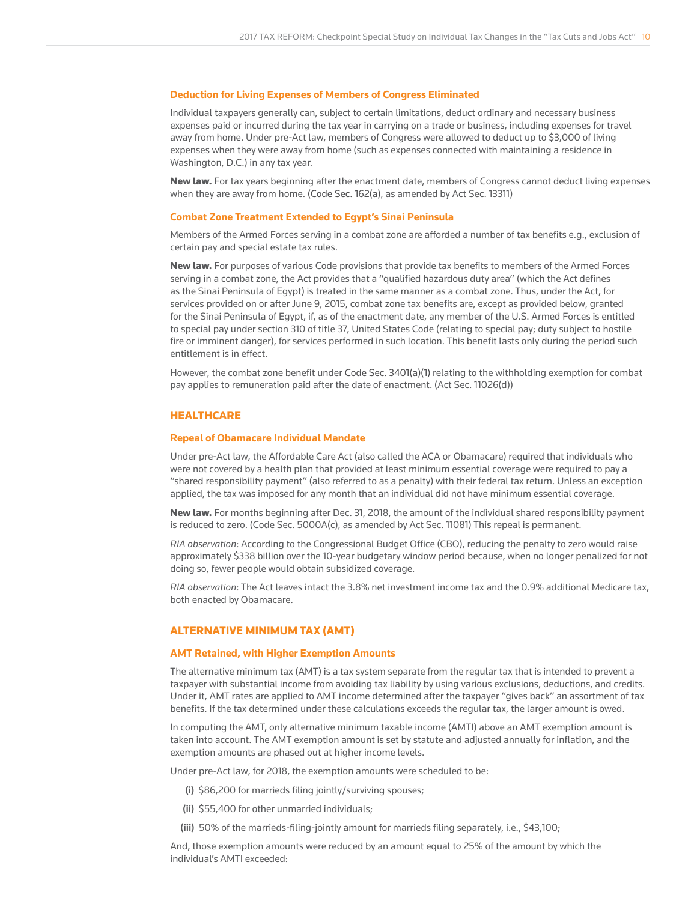#### **Deduction for Living Expenses of Members of Congress Eliminated**

Individual taxpayers generally can, subject to certain limitations, deduct ordinary and necessary business expenses paid or incurred during the tax year in carrying on a trade or business, including expenses for travel away from home. Under pre-Act law, members of Congress were allowed to deduct up to \$3,000 of living expenses when they were away from home (such as expenses connected with maintaining a residence in Washington, D.C.) in any tax year.

New law. For tax years beginning after the enactment date, members of Congress cannot deduct living expenses when they are away from home. (Code Sec. 162(a), as amended by Act Sec. 13311)

#### **Combat Zone Treatment Extended to Egypt's Sinai Peninsula**

Members of the Armed Forces serving in a combat zone are afforded a number of tax benefits e.g., exclusion of certain pay and special estate tax rules.

New law. For purposes of various Code provisions that provide tax benefits to members of the Armed Forces serving in a combat zone, the Act provides that a "qualified hazardous duty area" (which the Act defines as the Sinai Peninsula of Egypt) is treated in the same manner as a combat zone. Thus, under the Act, for services provided on or after June 9, 2015, combat zone tax benefits are, except as provided below, granted for the Sinai Peninsula of Egypt, if, as of the enactment date, any member of the U.S. Armed Forces is entitled to special pay under section 310 of title 37, United States Code (relating to special pay; duty subject to hostile fire or imminent danger), for services performed in such location. This benefit lasts only during the period such entitlement is in effect.

However, the combat zone benefit under Code Sec. 3401(a)(1) relating to the withholding exemption for combat pay applies to remuneration paid after the date of enactment. (Act Sec. 11026(d))

#### **HEALTHCARE**

#### **Repeal of Obamacare Individual Mandate**

Under pre-Act law, the Affordable Care Act (also called the ACA or Obamacare) required that individuals who were not covered by a health plan that provided at least minimum essential coverage were required to pay a "shared responsibility payment" (also referred to as a penalty) with their federal tax return. Unless an exception applied, the tax was imposed for any month that an individual did not have minimum essential coverage.

New law. For months beginning after Dec. 31, 2018, the amount of the individual shared responsibility payment is reduced to zero. (Code Sec. 5000A(c), as amended by Act Sec. 11081) This repeal is permanent.

*RIA observation*: According to the Congressional Budget Office (CBO), reducing the penalty to zero would raise approximately \$338 billion over the 10-year budgetary window period because, when no longer penalized for not doing so, fewer people would obtain subsidized coverage.

*RIA observation*: The Act leaves intact the 3.8% net investment income tax and the 0.9% additional Medicare tax, both enacted by Obamacare.

#### ALTERNATIVE MINIMUM TAX (AMT)

#### **AMT Retained, with Higher Exemption Amounts**

The alternative minimum tax (AMT) is a tax system separate from the regular tax that is intended to prevent a taxpayer with substantial income from avoiding tax liability by using various exclusions, deductions, and credits. Under it, AMT rates are applied to AMT income determined after the taxpayer "gives back" an assortment of tax benefits. If the tax determined under these calculations exceeds the regular tax, the larger amount is owed.

In computing the AMT, only alternative minimum taxable income (AMTI) above an AMT exemption amount is taken into account. The AMT exemption amount is set by statute and adjusted annually for inflation, and the exemption amounts are phased out at higher income levels.

Under pre-Act law, for 2018, the exemption amounts were scheduled to be:

- (i) \$86,200 for marrieds filing jointly/surviving spouses;
- (ii) \$55,400 for other unmarried individuals;
- (iii) 50% of the marrieds-filing-jointly amount for marrieds filing separately, i.e., \$43,100;

And, those exemption amounts were reduced by an amount equal to 25% of the amount by which the individual's AMTI exceeded: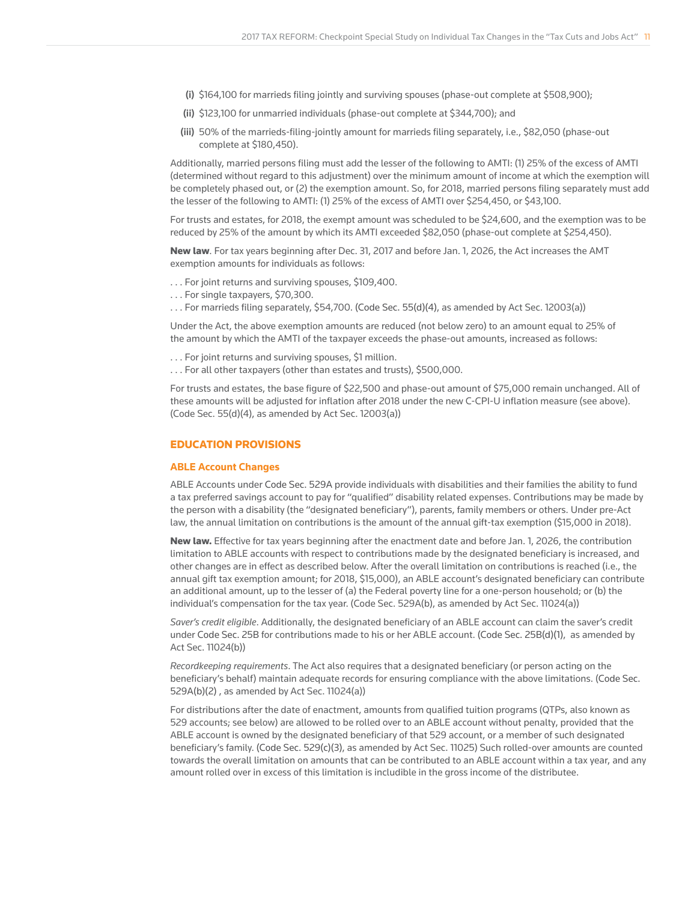- (i) \$164,100 for marrieds filing jointly and surviving spouses (phase-out complete at \$508,900);
- (ii) \$123,100 for unmarried individuals (phase-out complete at \$344,700); and
- (iii) 50% of the marrieds-filing-jointly amount for marrieds filing separately, i.e., \$82,050 (phase-out complete at \$180,450).

Additionally, married persons filing must add the lesser of the following to AMTI: (1) 25% of the excess of AMTI (determined without regard to this adjustment) over the minimum amount of income at which the exemption will be completely phased out, or (2) the exemption amount. So, for 2018, married persons filing separately must add the lesser of the following to AMTI: (1) 25% of the excess of AMTI over \$254,450, or \$43,100.

For trusts and estates, for 2018, the exempt amount was scheduled to be \$24,600, and the exemption was to be reduced by 25% of the amount by which its AMTI exceeded \$82,050 (phase-out complete at \$254,450).

New law. For tax years beginning after Dec. 31, 2017 and before Jan. 1, 2026, the Act increases the AMT exemption amounts for individuals as follows:

- . . . For joint returns and surviving spouses, \$109,400.
- . . . For single taxpayers, \$70,300.
- . . . For marrieds filing separately, \$54,700. (Code Sec. 55(d)(4), as amended by Act Sec. 12003(a))

Under the Act, the above exemption amounts are reduced (not below zero) to an amount equal to 25% of the amount by which the AMTI of the taxpayer exceeds the phase-out amounts, increased as follows:

- . . . For joint returns and surviving spouses, \$1 million.
- . . . For all other taxpayers (other than estates and trusts), \$500,000.

For trusts and estates, the base figure of \$22,500 and phase-out amount of \$75,000 remain unchanged. All of these amounts will be adjusted for inflation after 2018 under the new C-CPI-U inflation measure (see above). (Code Sec. 55(d)(4), as amended by Act Sec. 12003(a))

## EDUCATION PROVISIONS

#### **ABLE Account Changes**

ABLE Accounts under Code Sec. 529A provide individuals with disabilities and their families the ability to fund a tax preferred savings account to pay for "qualified" disability related expenses. Contributions may be made by the person with a disability (the "designated beneficiary"), parents, family members or others. Under pre-Act law, the annual limitation on contributions is the amount of the annual gift-tax exemption (\$15,000 in 2018).

New law. Effective for tax years beginning after the enactment date and before Jan. 1, 2026, the contribution limitation to ABLE accounts with respect to contributions made by the designated beneficiary is increased, and other changes are in effect as described below. After the overall limitation on contributions is reached (i.e., the annual gift tax exemption amount; for 2018, \$15,000), an ABLE account's designated beneficiary can contribute an additional amount, up to the lesser of (a) the Federal poverty line for a one-person household; or (b) the individual's compensation for the tax year. (Code Sec. 529A(b), as amended by Act Sec. 11024(a))

*Saver's credit eligible*. Additionally, the designated beneficiary of an ABLE account can claim the saver's credit under Code Sec. 25B for contributions made to his or her ABLE account. (Code Sec. 25B(d)(1), as amended by Act Sec. 11024(b))

*Recordkeeping requirements*. The Act also requires that a designated beneficiary (or person acting on the beneficiary's behalf) maintain adequate records for ensuring compliance with the above limitations. (Code Sec. 529A(b)(2) , as amended by Act Sec. 11024(a))

For distributions after the date of enactment, amounts from qualified tuition programs (QTPs, also known as 529 accounts; see below) are allowed to be rolled over to an ABLE account without penalty, provided that the ABLE account is owned by the designated beneficiary of that 529 account, or a member of such designated beneficiary's family. (Code Sec. 529(c)(3), as amended by Act Sec. 11025) Such rolled-over amounts are counted towards the overall limitation on amounts that can be contributed to an ABLE account within a tax year, and any amount rolled over in excess of this limitation is includible in the gross income of the distributee.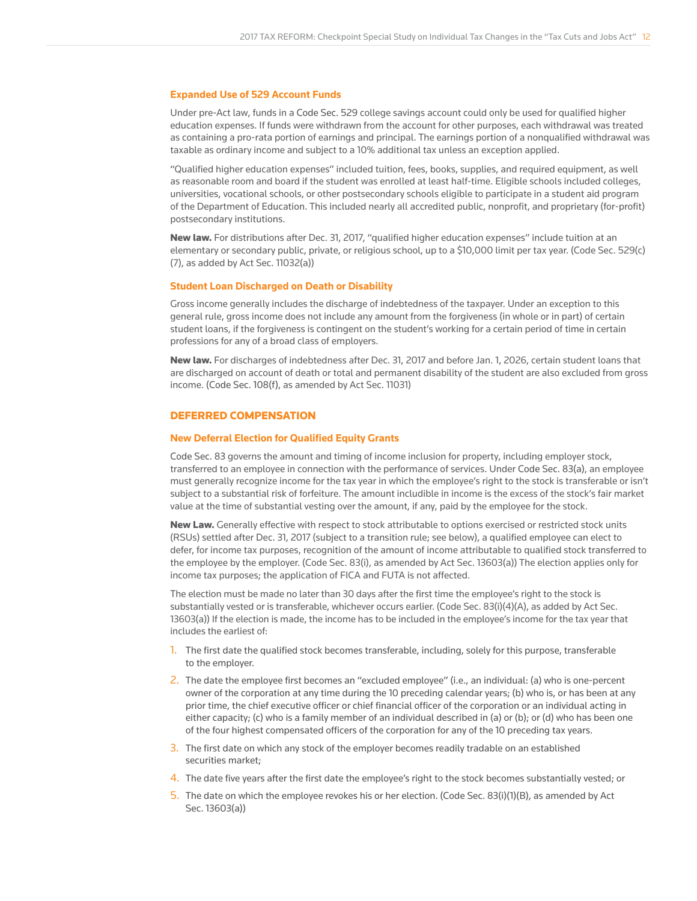#### **Expanded Use of 529 Account Funds**

Under pre-Act law, funds in a Code Sec. 529 college savings account could only be used for qualified higher education expenses. If funds were withdrawn from the account for other purposes, each withdrawal was treated as containing a pro-rata portion of earnings and principal. The earnings portion of a nonqualified withdrawal was taxable as ordinary income and subject to a 10% additional tax unless an exception applied.

"Qualified higher education expenses" included tuition, fees, books, supplies, and required equipment, as well as reasonable room and board if the student was enrolled at least half-time. Eligible schools included colleges, universities, vocational schools, or other postsecondary schools eligible to participate in a student aid program of the Department of Education. This included nearly all accredited public, nonprofit, and proprietary (for-profit) postsecondary institutions.

New law. For distributions after Dec. 31, 2017, "qualified higher education expenses" include tuition at an elementary or secondary public, private, or religious school, up to a \$10,000 limit per tax year. (Code Sec. 529(c) (7), as added by Act Sec. 11032(a))

#### **Student Loan Discharged on Death or Disability**

Gross income generally includes the discharge of indebtedness of the taxpayer. Under an exception to this general rule, gross income does not include any amount from the forgiveness (in whole or in part) of certain student loans, if the forgiveness is contingent on the student's working for a certain period of time in certain professions for any of a broad class of employers.

New law. For discharges of indebtedness after Dec. 31, 2017 and before Jan. 1, 2026, certain student loans that are discharged on account of death or total and permanent disability of the student are also excluded from gross income. (Code Sec. 108(f), as amended by Act Sec. 11031)

#### DEFERRED COMPENSATION

#### **New Deferral Election for Qualified Equity Grants**

Code Sec. 83 governs the amount and timing of income inclusion for property, including employer stock, transferred to an employee in connection with the performance of services. Under Code Sec. 83(a), an employee must generally recognize income for the tax year in which the employee's right to the stock is transferable or isn't subject to a substantial risk of forfeiture. The amount includible in income is the excess of the stock's fair market value at the time of substantial vesting over the amount, if any, paid by the employee for the stock.

New Law. Generally effective with respect to stock attributable to options exercised or restricted stock units (RSUs) settled after Dec. 31, 2017 (subject to a transition rule; see below), a qualified employee can elect to defer, for income tax purposes, recognition of the amount of income attributable to qualified stock transferred to the employee by the employer. (Code Sec. 83(i), as amended by Act Sec. 13603(a)) The election applies only for income tax purposes; the application of FICA and FUTA is not affected.

The election must be made no later than 30 days after the first time the employee's right to the stock is substantially vested or is transferable, whichever occurs earlier. (Code Sec. 83(i)(4)(A), as added by Act Sec. 13603(a)) If the election is made, the income has to be included in the employee's income for the tax year that includes the earliest of:

- 1. The first date the qualified stock becomes transferable, including, solely for this purpose, transferable to the employer.
- 2. The date the employee first becomes an "excluded employee" (i.e., an individual: (a) who is one-percent owner of the corporation at any time during the 10 preceding calendar years; (b) who is, or has been at any prior time, the chief executive officer or chief financial officer of the corporation or an individual acting in either capacity; (c) who is a family member of an individual described in (a) or (b); or (d) who has been one of the four highest compensated officers of the corporation for any of the 10 preceding tax years.
- 3. The first date on which any stock of the employer becomes readily tradable on an established securities market;
- 4. The date five years after the first date the employee's right to the stock becomes substantially vested; or
- 5. The date on which the employee revokes his or her election. (Code Sec. 83(i)(1)(B), as amended by Act Sec. 13603(a))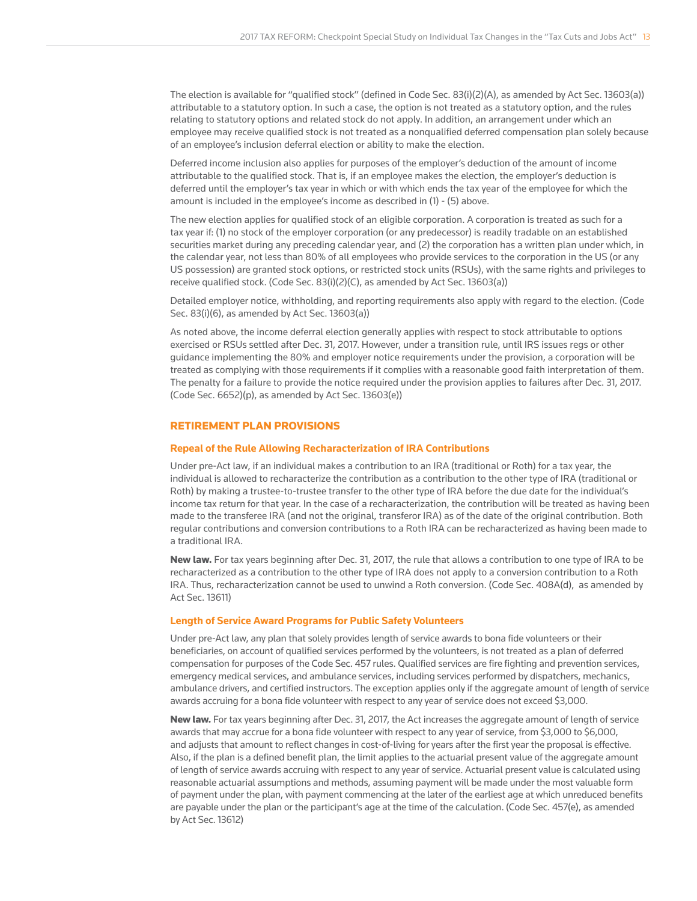The election is available for "qualified stock" (defined in Code Sec. 83(i)(2)(A), as amended by Act Sec. 13603(a)) attributable to a statutory option. In such a case, the option is not treated as a statutory option, and the rules relating to statutory options and related stock do not apply. In addition, an arrangement under which an employee may receive qualified stock is not treated as a nonqualified deferred compensation plan solely because of an employee's inclusion deferral election or ability to make the election.

Deferred income inclusion also applies for purposes of the employer's deduction of the amount of income attributable to the qualified stock. That is, if an employee makes the election, the employer's deduction is deferred until the employer's tax year in which or with which ends the tax year of the employee for which the amount is included in the employee's income as described in (1) - (5) above.

The new election applies for qualified stock of an eligible corporation. A corporation is treated as such for a tax year if: (1) no stock of the employer corporation (or any predecessor) is readily tradable on an established securities market during any preceding calendar year, and (2) the corporation has a written plan under which, in the calendar year, not less than 80% of all employees who provide services to the corporation in the US (or any US possession) are granted stock options, or restricted stock units (RSUs), with the same rights and privileges to receive qualified stock. (Code Sec. 83(i)(2)(C), as amended by Act Sec. 13603(a))

Detailed employer notice, withholding, and reporting requirements also apply with regard to the election. (Code Sec. 83(i)(6), as amended by Act Sec. 13603(a))

As noted above, the income deferral election generally applies with respect to stock attributable to options exercised or RSUs settled after Dec. 31, 2017. However, under a transition rule, until IRS issues regs or other guidance implementing the 80% and employer notice requirements under the provision, a corporation will be treated as complying with those requirements if it complies with a reasonable good faith interpretation of them. The penalty for a failure to provide the notice required under the provision applies to failures after Dec. 31, 2017. (Code Sec. 6652)(p), as amended by Act Sec. 13603(e))

## RETIREMENT PLAN PROVISIONS

#### **Repeal of the Rule Allowing Recharacterization of IRA Contributions**

Under pre-Act law, if an individual makes a contribution to an IRA (traditional or Roth) for a tax year, the individual is allowed to recharacterize the contribution as a contribution to the other type of IRA (traditional or Roth) by making a trustee-to-trustee transfer to the other type of IRA before the due date for the individual's income tax return for that year. In the case of a recharacterization, the contribution will be treated as having been made to the transferee IRA (and not the original, transferor IRA) as of the date of the original contribution. Both regular contributions and conversion contributions to a Roth IRA can be recharacterized as having been made to a traditional IRA.

New law. For tax years beginning after Dec. 31, 2017, the rule that allows a contribution to one type of IRA to be recharacterized as a contribution to the other type of IRA does not apply to a conversion contribution to a Roth IRA. Thus, recharacterization cannot be used to unwind a Roth conversion. (Code Sec. 408A(d), as amended by Act Sec. 13611)

#### **Length of Service Award Programs for Public Safety Volunteers**

Under pre-Act law, any plan that solely provides length of service awards to bona fide volunteers or their beneficiaries, on account of qualified services performed by the volunteers, is not treated as a plan of deferred compensation for purposes of the Code Sec. 457 rules. Qualified services are fire fighting and prevention services, emergency medical services, and ambulance services, including services performed by dispatchers, mechanics, ambulance drivers, and certified instructors. The exception applies only if the aggregate amount of length of service awards accruing for a bona fide volunteer with respect to any year of service does not exceed \$3,000.

New law. For tax years beginning after Dec. 31, 2017, the Act increases the aggregate amount of length of service awards that may accrue for a bona fide volunteer with respect to any year of service, from \$3,000 to \$6,000, and adjusts that amount to reflect changes in cost-of-living for years after the first year the proposal is effective. Also, if the plan is a defined benefit plan, the limit applies to the actuarial present value of the aggregate amount of length of service awards accruing with respect to any year of service. Actuarial present value is calculated using reasonable actuarial assumptions and methods, assuming payment will be made under the most valuable form of payment under the plan, with payment commencing at the later of the earliest age at which unreduced benefits are payable under the plan or the participant's age at the time of the calculation. (Code Sec. 457(e), as amended by Act Sec. 13612)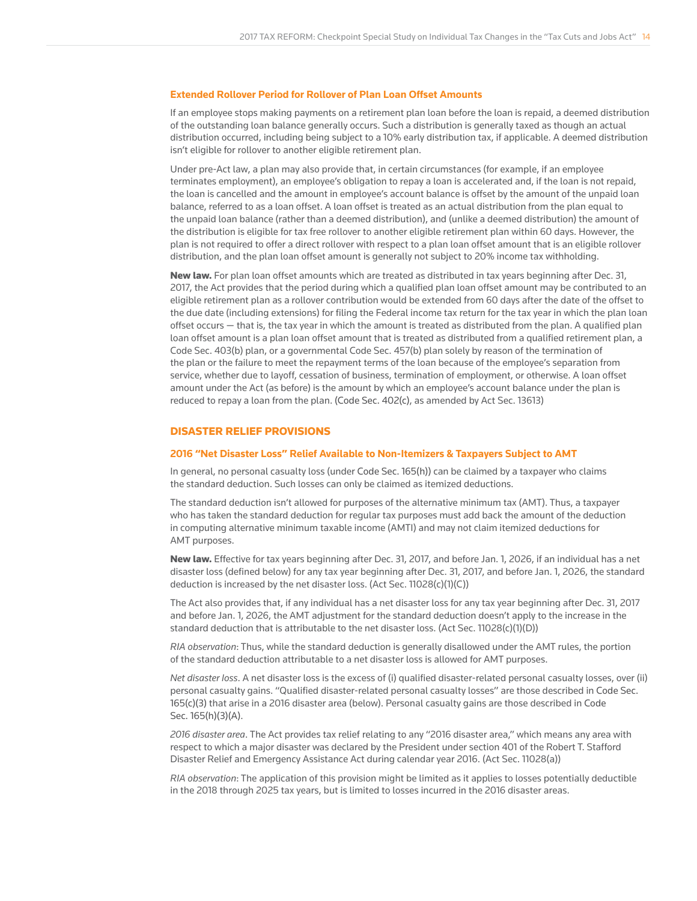#### **Extended Rollover Period for Rollover of Plan Loan Offset Amounts**

If an employee stops making payments on a retirement plan loan before the loan is repaid, a deemed distribution of the outstanding loan balance generally occurs. Such a distribution is generally taxed as though an actual distribution occurred, including being subject to a 10% early distribution tax, if applicable. A deemed distribution isn't eligible for rollover to another eligible retirement plan.

Under pre-Act law, a plan may also provide that, in certain circumstances (for example, if an employee terminates employment), an employee's obligation to repay a loan is accelerated and, if the loan is not repaid, the loan is cancelled and the amount in employee's account balance is offset by the amount of the unpaid loan balance, referred to as a loan offset. A loan offset is treated as an actual distribution from the plan equal to the unpaid loan balance (rather than a deemed distribution), and (unlike a deemed distribution) the amount of the distribution is eligible for tax free rollover to another eligible retirement plan within 60 days. However, the plan is not required to offer a direct rollover with respect to a plan loan offset amount that is an eligible rollover distribution, and the plan loan offset amount is generally not subject to 20% income tax withholding.

New law. For plan loan offset amounts which are treated as distributed in tax years beginning after Dec. 31, 2017, the Act provides that the period during which a qualified plan loan offset amount may be contributed to an eligible retirement plan as a rollover contribution would be extended from 60 days after the date of the offset to the due date (including extensions) for filing the Federal income tax return for the tax year in which the plan loan offset occurs — that is, the tax year in which the amount is treated as distributed from the plan. A qualified plan loan offset amount is a plan loan offset amount that is treated as distributed from a qualified retirement plan, a Code Sec. 403(b) plan, or a governmental Code Sec. 457(b) plan solely by reason of the termination of the plan or the failure to meet the repayment terms of the loan because of the employee's separation from service, whether due to layoff, cessation of business, termination of employment, or otherwise. A loan offset amount under the Act (as before) is the amount by which an employee's account balance under the plan is reduced to repay a loan from the plan. (Code Sec. 402(c), as amended by Act Sec. 13613)

## DISASTER RELIEF PROVISIONS

#### **2016 "Net Disaster Loss" Relief Available to Non-Itemizers & Taxpayers Subject to AMT**

In general, no personal casualty loss (under Code Sec. 165(h)) can be claimed by a taxpayer who claims the standard deduction. Such losses can only be claimed as itemized deductions.

The standard deduction isn't allowed for purposes of the alternative minimum tax (AMT). Thus, a taxpayer who has taken the standard deduction for regular tax purposes must add back the amount of the deduction in computing alternative minimum taxable income (AMTI) and may not claim itemized deductions for AMT purposes.

New law. Effective for tax years beginning after Dec. 31, 2017, and before Jan. 1, 2026, if an individual has a net disaster loss (defined below) for any tax year beginning after Dec. 31, 2017, and before Jan. 1, 2026, the standard deduction is increased by the net disaster loss. (Act Sec. 11028(c)(1)(C))

The Act also provides that, if any individual has a net disaster loss for any tax year beginning after Dec. 31, 2017 and before Jan. 1, 2026, the AMT adjustment for the standard deduction doesn't apply to the increase in the standard deduction that is attributable to the net disaster loss. (Act Sec.  $11028(c)(1)(D)$ )

*RIA observation*: Thus, while the standard deduction is generally disallowed under the AMT rules, the portion of the standard deduction attributable to a net disaster loss is allowed for AMT purposes.

*Net disaster loss*. A net disaster loss is the excess of (i) qualified disaster-related personal casualty losses, over (ii) personal casualty gains. "Qualified disaster-related personal casualty losses" are those described in Code Sec. 165(c)(3) that arise in a 2016 disaster area (below). Personal casualty gains are those described in Code Sec. 165(h)(3)(A).

*2016 disaster area*. The Act provides tax relief relating to any "2016 disaster area," which means any area with respect to which a major disaster was declared by the President under section 401 of the Robert T. Stafford Disaster Relief and Emergency Assistance Act during calendar year 2016. (Act Sec. 11028(a))

*RIA observation*: The application of this provision might be limited as it applies to losses potentially deductible in the 2018 through 2025 tax years, but is limited to losses incurred in the 2016 disaster areas.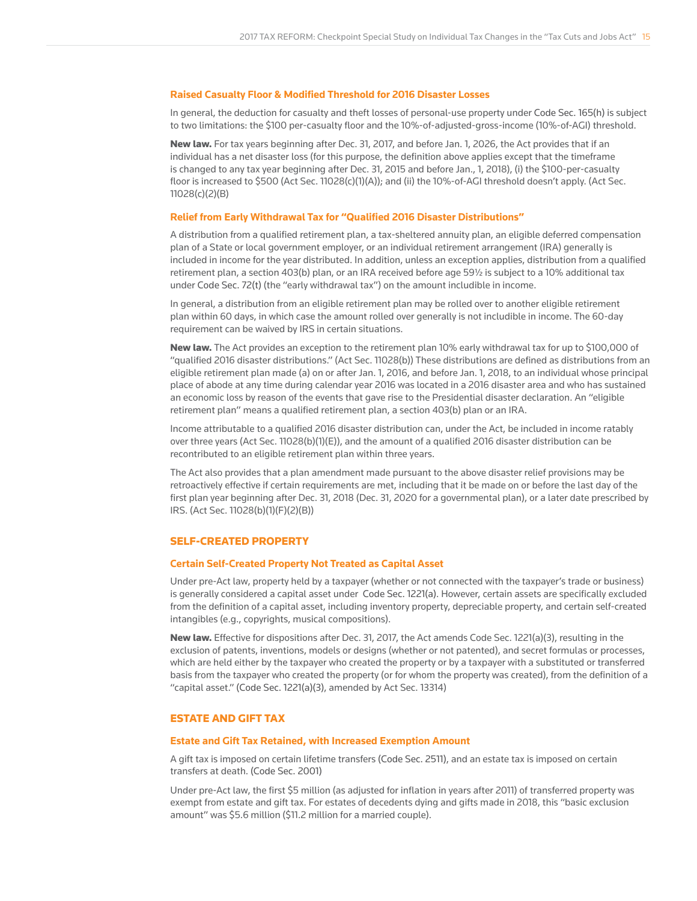#### **Raised Casualty Floor & Modified Threshold for 2016 Disaster Losses**

In general, the deduction for casualty and theft losses of personal-use property under Code Sec. 165(h) is subject to two limitations: the \$100 per-casualty floor and the 10%-of-adjusted-gross-income (10%-of-AGI) threshold.

New law. For tax years beginning after Dec. 31, 2017, and before Jan. 1, 2026, the Act provides that if an individual has a net disaster loss (for this purpose, the definition above applies except that the timeframe is changed to any tax year beginning after Dec. 31, 2015 and before Jan., 1, 2018), (i) the \$100-per-casualty floor is increased to \$500 (Act Sec. 11028(c)(1)(A)); and (ii) the 10%-of-AGI threshold doesn't apply. (Act Sec. 11028(c)(2)(B)

#### **Relief from Early Withdrawal Tax for "Qualified 2016 Disaster Distributions"**

A distribution from a qualified retirement plan, a tax-sheltered annuity plan, an eligible deferred compensation plan of a State or local government employer, or an individual retirement arrangement (IRA) generally is included in income for the year distributed. In addition, unless an exception applies, distribution from a qualified retirement plan, a section 403(b) plan, or an IRA received before age 59½ is subject to a 10% additional tax under Code Sec. 72(t) (the "early withdrawal tax") on the amount includible in income.

In general, a distribution from an eligible retirement plan may be rolled over to another eligible retirement plan within 60 days, in which case the amount rolled over generally is not includible in income. The 60-day requirement can be waived by IRS in certain situations.

New law. The Act provides an exception to the retirement plan 10% early withdrawal tax for up to \$100,000 of "qualified 2016 disaster distributions." (Act Sec. 11028(b)) These distributions are defined as distributions from an eligible retirement plan made (a) on or after Jan. 1, 2016, and before Jan. 1, 2018, to an individual whose principal place of abode at any time during calendar year 2016 was located in a 2016 disaster area and who has sustained an economic loss by reason of the events that gave rise to the Presidential disaster declaration. An "eligible retirement plan" means a qualified retirement plan, a section 403(b) plan or an IRA.

Income attributable to a qualified 2016 disaster distribution can, under the Act, be included in income ratably over three years (Act Sec. 11028(b)(1)(E)), and the amount of a qualified 2016 disaster distribution can be recontributed to an eligible retirement plan within three years.

The Act also provides that a plan amendment made pursuant to the above disaster relief provisions may be retroactively effective if certain requirements are met, including that it be made on or before the last day of the first plan year beginning after Dec. 31, 2018 (Dec. 31, 2020 for a governmental plan), or a later date prescribed by IRS. (Act Sec. 11028(b)(1)(F)(2)(B))

#### SELF-CREATED PROPERTY

#### **Certain Self-Created Property Not Treated as Capital Asset**

Under pre-Act law, property held by a taxpayer (whether or not connected with the taxpayer's trade or business) is generally considered a capital asset under Code Sec. 1221(a). However, certain assets are specifically excluded from the definition of a capital asset, including inventory property, depreciable property, and certain self-created intangibles (e.g., copyrights, musical compositions).

New law. Effective for dispositions after Dec. 31, 2017, the Act amends Code Sec. 1221(a)(3), resulting in the exclusion of patents, inventions, models or designs (whether or not patented), and secret formulas or processes, which are held either by the taxpayer who created the property or by a taxpayer with a substituted or transferred basis from the taxpayer who created the property (or for whom the property was created), from the definition of a "capital asset." (Code Sec. 1221(a)(3), amended by Act Sec. 13314)

## ESTATE AND GIFT TAX

#### **Estate and Gift Tax Retained, with Increased Exemption Amount**

A gift tax is imposed on certain lifetime transfers (Code Sec. 2511), and an estate tax is imposed on certain transfers at death. (Code Sec. 2001)

Under pre-Act law, the first \$5 million (as adjusted for inflation in years after 2011) of transferred property was exempt from estate and gift tax. For estates of decedents dying and gifts made in 2018, this "basic exclusion amount" was \$5.6 million (\$11.2 million for a married couple).